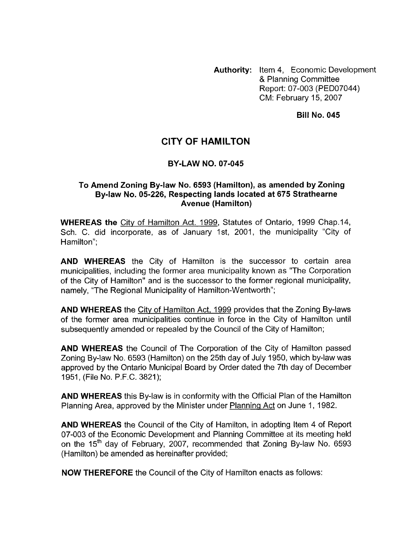**Authority:** Item 4, Economic Development & Planning Committee Report: 07-003 (PED07044) CM: February 15,2007

**Bill No. 045** 

## **CITY OF HAMILTON**

## **BY-LAW NO. 07-045**

## **To Amend Zoning By-law No. 6593 (Hamilton), as amended by Zoning By-law No. 05-226, Respecting lands located at 675 Strathearne Avenue (Hamilton)**

**WHEREAS the** City of Hamilton Act. 1999, Statutes of Ontario, 1999 Chap.14, Sch. C. did incorporate, as of January Ist, 2001, the municipality "City of Hamilton":

**AND WHEREAS** the City of Hamilton is the successor to certain area municipalities, including the former area municipality known as "The Corporation of the City of Hamilton" and is the successor to the former regional municipality, namely, "The Regional Municipality of Hamilton-Wentworth";

**AND WHEREAS** the City of Hamilton Act, 1999 provides that the Zoning By-laws of the former area municipalities continue in force in the City of Hamilton until subsequently amended or repealed by the Council of the City of Hamilton;

**AND WHEREAS** the Council of The Corporation of the City of Hamilton passed Zoning By-law No. 6593 (Hamilton) on the 25th day of July 1950, which by-law was approved by the Ontario Municipal Board by Order dated the 7th day of December 1951, (File No. P.F.C. 3821);

**AND WHEREAS** this By-law is in conformity with the Official Plan of the Hamilton Planning Area, approved by the Minister under Planning Act on June 1, 1982.

**AND WHEREAS** the Council of the City of Hamilton, in adopting Item 4 of Report 07-003 of the Economic Development and Planning Committee at its meeting held on the 15<sup>th</sup> day of February, 2007, recommended that Zoning By-law No. 6593 (Hamilton) be amended as hereinafter provided;

**NOW THEREFORE** the Council of the City of Hamilton enacts as follows: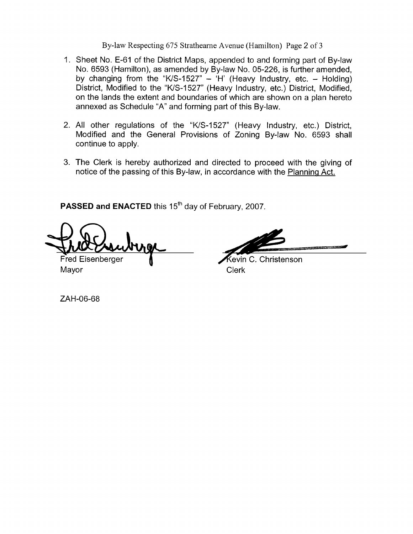By-law Respecting 675 Strathearne Avenue (Hamilton) Page 2 of 3

- 1. Sheet No. E-61 of the District Maps, appended to and forming part of By-law No. 6593 (Hamilton), as amended by By-law No. 05-226, is further amended, by changing from the "K/S-1527"  $-$  'H' (Heavy Industry, etc.  $-$  Holding) District, Modified to the "K/S-1527" (Heavy Industry, etc.) District, Modified, on the lands the extent and boundaries of which are shown on a plan hereto annexed as Schedule "A" and forming part of this By-law.
- 2. All other regulations of the "WS-1527" (Heavy Industry, etc.) District, Modified and the General Provisions of Zoning By-law No. 6593 shall continue to apply.
- 3. The Clerk is hereby authorized and directed to proceed with the giving of notice of the passing of this By-law, in accordance with the Planning Act.

PASSED and ENACTED this 15<sup>th</sup> day of February, 2007.

Fred Eisenberger

Mayor **Mayor** Clerk

Kevin C. Christenson

ZAH-06-68